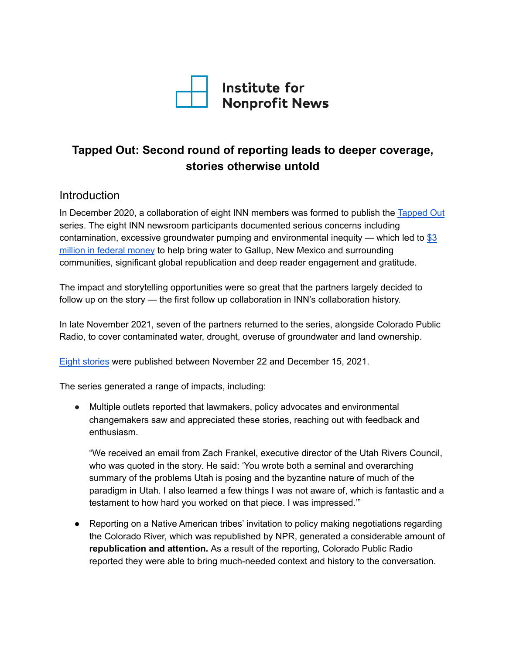

# **Tapped Out: Second round of reporting leads to deeper coverage, stories otherwise untold**

#### Introduction

In December 2020, a collaboration of eight INN members was formed to publish the [Tapped](https://inn.org/inn-collaborations/tapped-out/) Out series. The eight INN newsroom participants documented serious concerns including contamination, excessive groundwater pumping and environmental inequity — which led to  $\$3$  $\$3$ million in [federal](https://inn.org/wp-content/uploads/2021/08/Tapped-Out-impact-report.pdf) money to help bring water to Gallup, New Mexico and surrounding communities, significant global republication and deep reader engagement and gratitude.

The impact and storytelling opportunities were so great that the partners largely decided to follow up on the story — the first follow up collaboration in INN's collaboration history.

In late November 2021, seven of the partners returned to the series, alongside Colorado Public Radio, to cover contaminated water, drought, overuse of groundwater and land ownership.

Eight [stories](https://inn.org/inn-collaborations/tapped-out-power-and-water/) were published between November 22 and December 15, 2021.

The series generated a range of impacts, including:

● Multiple outlets reported that lawmakers, policy advocates and environmental changemakers saw and appreciated these stories, reaching out with feedback and enthusiasm.

"We received an email from Zach Frankel, executive director of the Utah Rivers Council, who was quoted in the story. He said: 'You wrote both a seminal and overarching summary of the problems Utah is posing and the byzantine nature of much of the paradigm in Utah. I also learned a few things I was not aware of, which is fantastic and a testament to how hard you worked on that piece. I was impressed.'"

● Reporting on a Native American tribes' invitation to policy making negotiations regarding the Colorado River, which was republished by NPR, generated a considerable amount of **republication and attention.** As a result of the reporting, Colorado Public Radio reported they were able to bring much-needed context and history to the conversation.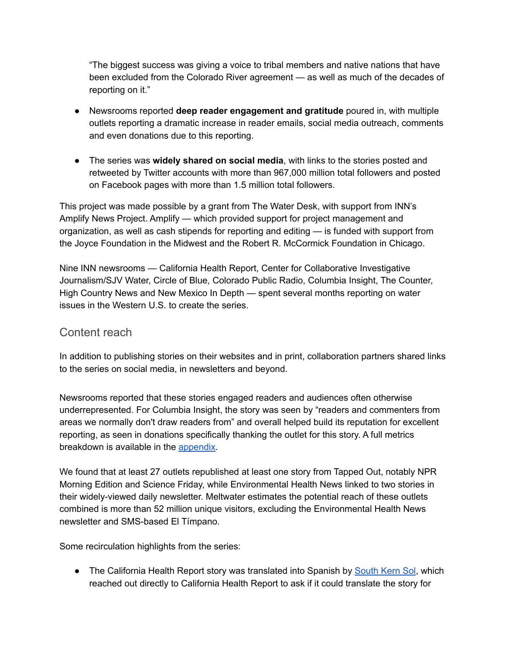"The biggest success was giving a voice to tribal members and native nations that have been excluded from the Colorado River agreement — as well as much of the decades of reporting on it."

- Newsrooms reported **deep reader engagement and gratitude** poured in, with multiple outlets reporting a dramatic increase in reader emails, social media outreach, comments and even donations due to this reporting.
- The series was **widely shared on social media**, with links to the stories posted and retweeted by Twitter accounts with more than 967,000 million total followers and posted on Facebook pages with more than 1.5 million total followers.

This project was made possible by a grant from The Water Desk, with support from INN's Amplify News Project. Amplify — which provided support for project management and organization, as well as cash stipends for reporting and editing — is funded with support from the Joyce Foundation in the Midwest and the Robert R. McCormick Foundation in Chicago.

Nine INN newsrooms — California Health Report, Center for Collaborative Investigative Journalism/SJV Water, Circle of Blue, Colorado Public Radio, Columbia Insight, The Counter, High Country News and New Mexico In Depth — spent several months reporting on water issues in the Western U.S. to create the series.

## Content reach

In addition to publishing stories on their websites and in print, collaboration partners shared links to the series on social media, in newsletters and beyond.

Newsrooms reported that these stories engaged readers and audiences often otherwise underrepresented. For Columbia Insight, the story was seen by "readers and commenters from areas we normally don't draw readers from" and overall helped build its reputation for excellent reporting, as seen in donations specifically thanking the outlet for this story. A full metrics breakdown is available in the [appendix.](#page-4-0)

We found that at least 27 outlets republished at least one story from Tapped Out, notably NPR Morning Edition and Science Friday, while Environmental Health News linked to two stories in their widely-viewed daily newsletter. Meltwater estimates the potential reach of these outlets combined is more than 52 million unique visitors, excluding the Environmental Health News newsletter and SMS-based El Tímpano.

Some recirculation highlights from the series:

• The California Health Report story was translated into Spanish by [South](https://southkernsol.org/2021/12/20/california-health-report-esta-ciudad-del-valle-central-tiene-un-carcinogeno-en-su-agua-por-que-las-soluciones-son-tan-lentas/) Kern Sol, which reached out directly to California Health Report to ask if it could translate the story for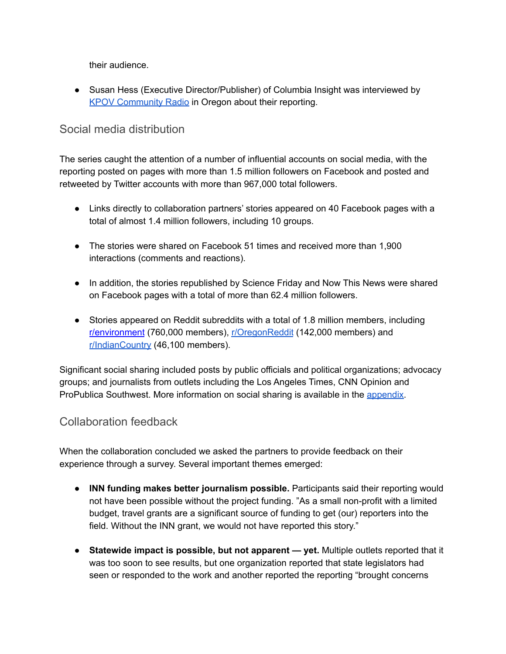their audience.

● Susan Hess (Executive Director/Publisher) of Columbia Insight was interviewed by KPOV [Community](https://kpov.org/wednesday-point-podcast) Radio in Oregon about their reporting.

# Social media distribution

The series caught the attention of a number of influential accounts on social media, with the reporting posted on pages with more than 1.5 million followers on Facebook and posted and retweeted by Twitter accounts with more than 967,000 total followers.

- Links directly to collaboration partners' stories appeared on 40 Facebook pages with a total of almost 1.4 million followers, including 10 groups.
- The stories were shared on Facebook 51 times and received more than 1,900 interactions (comments and reactions).
- In addition, the stories republished by Science Friday and Now This News were shared on Facebook pages with a total of more than 62.4 million followers.
- Stories appeared on Reddit subreddits with a total of 1.8 million members, including [r/environment](https://www.reddit.com/r/environment/comments/r0i7of/this_year_hundreds_of_household_wells_went_dry_in/) (760,000 members), [r/OregonReddit](https://www.reddit.com/r/oregon/comments/r48qn1/how_a_federal_drought_relief_program_left/) (142,000 members) and [r/IndianCountry](https://www.reddit.com/r/IndianCountry/comments/rb651l/historically_excluded_from_colorado_river_policy/) (46,100 members).

Significant social sharing included posts by public officials and political organizations; advocacy groups; and journalists from outlets including the Los Angeles Times, CNN Opinion and ProPublica Southwest. More information on social sharing is available in the [appendix.](#page-4-0)

## Collaboration feedback

When the collaboration concluded we asked the partners to provide feedback on their experience through a survey. Several important themes emerged:

- **● INN funding makes better journalism possible.** Participants said their reporting would not have been possible without the project funding. "As a small non-profit with a limited budget, travel grants are a significant source of funding to get (our) reporters into the field. Without the INN grant, we would not have reported this story."
- **Statewide impact is possible, but not apparent — yet.** Multiple outlets reported that it was too soon to see results, but one organization reported that state legislators had seen or responded to the work and another reported the reporting "brought concerns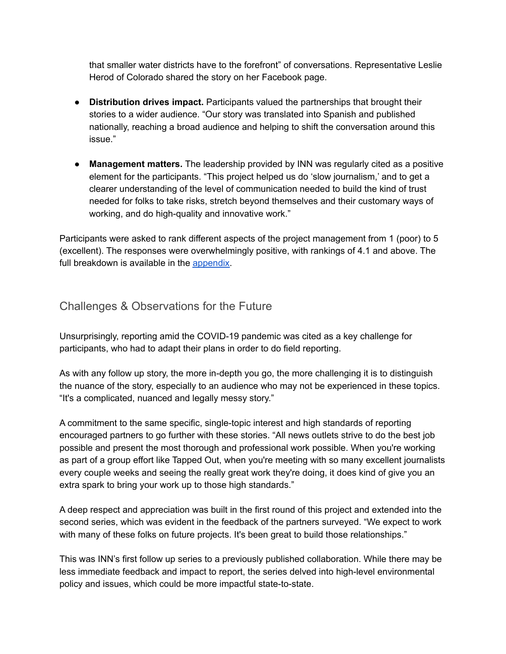that smaller water districts have to the forefront" of conversations. Representative Leslie Herod of Colorado shared the story on her Facebook page.

- **● Distribution drives impact.** Participants valued the partnerships that brought their stories to a wider audience. "Our story was translated into Spanish and published nationally, reaching a broad audience and helping to shift the conversation around this issue."
- **Management matters.** The leadership provided by INN was regularly cited as a positive element for the participants. "This project helped us do 'slow journalism,' and to get a clearer understanding of the level of communication needed to build the kind of trust needed for folks to take risks, stretch beyond themselves and their customary ways of working, and do high-quality and innovative work."

Participants were asked to rank different aspects of the project management from 1 (poor) to 5 (excellent). The responses were overwhelmingly positive, with rankings of 4.1 and above. The full breakdown is available in the [appendix.](#page-4-0)

## Challenges & Observations for the Future

Unsurprisingly, reporting amid the COVID-19 pandemic was cited as a key challenge for participants, who had to adapt their plans in order to do field reporting.

As with any follow up story, the more in-depth you go, the more challenging it is to distinguish the nuance of the story, especially to an audience who may not be experienced in these topics. "It's a complicated, nuanced and legally messy story."

A commitment to the same specific, single-topic interest and high standards of reporting encouraged partners to go further with these stories. "All news outlets strive to do the best job possible and present the most thorough and professional work possible. When you're working as part of a group effort like Tapped Out, when you're meeting with so many excellent journalists every couple weeks and seeing the really great work they're doing, it does kind of give you an extra spark to bring your work up to those high standards."

A deep respect and appreciation was built in the first round of this project and extended into the second series, which was evident in the feedback of the partners surveyed. "We expect to work with many of these folks on future projects. It's been great to build those relationships."

This was INN's first follow up series to a previously published collaboration. While there may be less immediate feedback and impact to report, the series delved into high-level environmental policy and issues, which could be more impactful state-to-state.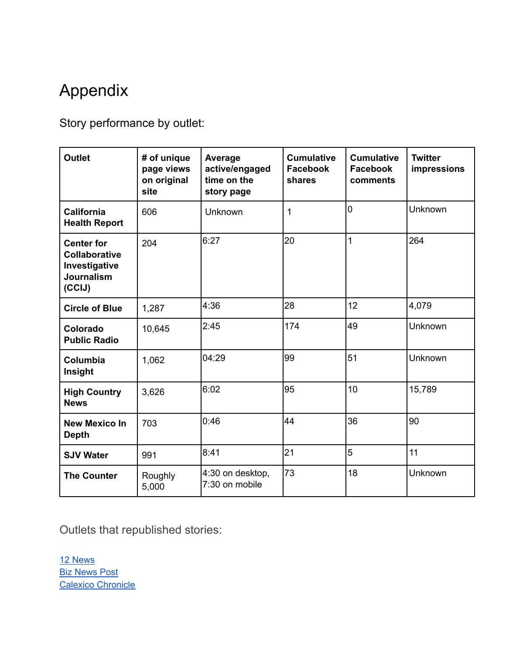# <span id="page-4-0"></span>Appendix

Story performance by outlet:

| <b>Outlet</b>                                                                             | # of unique<br>page views<br>on original<br>site | Average<br>active/engaged<br>time on the<br>story page | <b>Cumulative</b><br><b>Facebook</b><br>shares | <b>Cumulative</b><br><b>Facebook</b><br>comments | <b>Twitter</b><br>impressions |
|-------------------------------------------------------------------------------------------|--------------------------------------------------|--------------------------------------------------------|------------------------------------------------|--------------------------------------------------|-------------------------------|
| <b>California</b><br><b>Health Report</b>                                                 | 606                                              | Unknown                                                | 1                                              | $\overline{0}$                                   | Unknown                       |
| <b>Center for</b><br><b>Collaborative</b><br>Investigative<br><b>Journalism</b><br>(CCIJ) | 204                                              | 6:27                                                   | 20                                             | $\overline{1}$                                   | 264                           |
| <b>Circle of Blue</b>                                                                     | 1,287                                            | 4:36                                                   | 28                                             | 12                                               | 4,079                         |
| Colorado<br><b>Public Radio</b>                                                           | 10,645                                           | 2:45                                                   | 174                                            | 49                                               | Unknown                       |
| Columbia<br>Insight                                                                       | 1,062                                            | 04:29                                                  | 99                                             | 51                                               | Unknown                       |
| <b>High Country</b><br><b>News</b>                                                        | 3,626                                            | 6:02                                                   | 95                                             | 10                                               | 15,789                        |
| <b>New Mexico In</b><br><b>Depth</b>                                                      | 703                                              | 0:46                                                   | 44                                             | 36                                               | 90                            |
| <b>SJV Water</b>                                                                          | 991                                              | 8:41                                                   | 21                                             | 5                                                | 11                            |
| <b>The Counter</b>                                                                        | Roughly<br>5,000                                 | 4:30 on desktop,<br>7:30 on mobile                     | 73                                             | 18                                               | Unknown                       |

Outlets that republished stories:

12 [News](https://www.12news.com/article/news/local/historically-colorado-river-policy-tribes-dwindling-resource-used/73-a79fec4e-d5de-4b46-9089-08b30a472344) **Biz [News](https://biznewspost.com/health/a-federal-drought-relief-program-left-southern-oregon-parched/) Post** Calexico [Chronicle](https://calexicochronicle.com/2021/12/11/historically-excluded-from-colorado-river-policy-tribes-want-a-say-in-how-the-dwindling-resource-is-used/)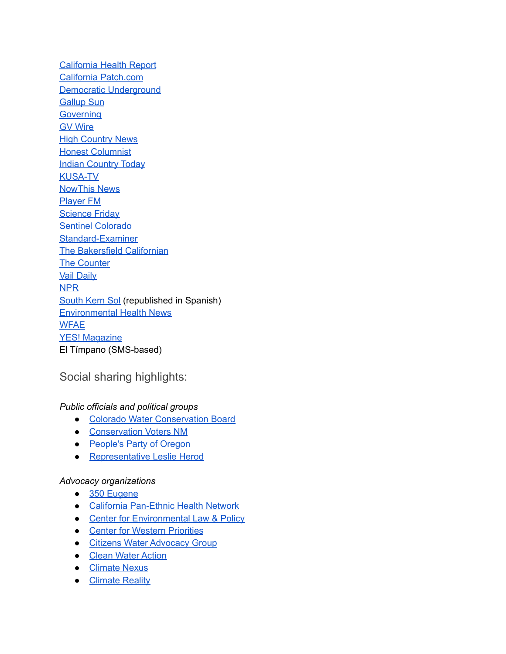[California](https://www.calhealthreport.org/2021/12/08/agriculture-interests-say-canal-fixes-will-help-vulnerable-communities-residents-disagree/) Health Report California [Patch.com](https://patch.com/california/san-francisco/agriculture-interests-say-canal-fixes-will-help-vulnerable-communities) Democratic [Underground](https://www.democraticunderground.com/10734038) [Gallup](http://www.gallupsun.com/index.php?option=com_content&view=article&id=15896:protect-our-home&catid=150:sun-news&Itemid=600) Sun **[Governing](https://www.governing.com/now/corporations-are-consolidating-water-and-land-rights-in-the-west)** GV [Wire](https://gvwire.com/2021/11/22/special-report-small-farmers-struggle-as-ag-titans-boswell-vidovich-wheel-water-for-profit/) **High [Country](https://www.hcn.org/articles/drought-a-federal-drought-relief-program-left-southern-oregon-parched) News** Honest [Columnist](https://honestcolumnist.com/health/how-a-federal-drought-relief-program-left-southern-oregon-parched-and-contributed-to-the-ongoing-groundwater-crisis-in-the-west/) **Indian [Country](https://indiancountrytoday.com/news/jackpile-mine-toxic-legacy-continues-at-laguna-pueblo) Today** [KUSA-TV](https://www.9news.com/article/news/local/historically-colorado-river-policy-tribes-dwindling-resource-used/73-a79fec4e-d5de-4b46-9089-08b30a472344) [NowThis](https://nowthisnews.com/earth/utahs-water-dilemma) News [Player](https://player.fm/series/science-friday-2006452/vocal-fry-indigenous-tribes-and-the-colorado-river-year-in-space-december-10-2021-part-2) FM **[Science](https://www.sciencefriday.com/segments/colorado-river-indigenous-tribes/) Friday** Sentinel [Colorado](https://sentinelcolorado.com/news/state-and-region/colorado-news/historically-excluded-from-colorado-river-policy-tribes-want-a-say-in-how-the-dwindling-resource-is-used/) [Standard-Examiner](https://www.standard.net/news/environment/2021/dec/12/record-breaking-drought-along-wasatch-front-forces-tough-decisions-about-water-supply/) The [Bakersfield](https://www.bakersfield.com/news/canal-projections-bring-up-question-of-cost-who-should-pay/article_dfb1864a-642d-11ec-8cd6-af3606b6491b.html) Californian The [Counter](https://thecounter.org/small-farmers-water-for-profit-kings-county-california-san-joaquin-valley/) Vail [Daily](https://www.vaildaily.com/news/historically-excluded-from-colorado-river-policy-tribes-want-say-in-how-dwindling-resource-is-used/) [NPR](https://www.npr.org/2021/12/29/1068895461/tribes-push-for-a-bigger-role-in-managing-the-shrinking-colorado-rivers-water) [South](https://southkernsol.org/2021/12/20/california-health-report-esta-ciudad-del-valle-central-tiene-un-carcinogeno-en-su-agua-por-que-las-soluciones-son-tan-lentas/) Kern Sol (republished in Spanish) [Environmental](http://ehsciences.activehosted.com/index.php?action=social&chash=6f3ef77ac0e3619e98159e9b6febf557.229&s=a23b2e081b0c8228f4f3f60498436eea) Health News [WFAE](https://www.wfae.org/united-states-world/2021-12-29/tribes-push-for-a-bigger-role-in-managing-the-shrinking-colorado-rivers-water) YES! [Magazine](https://www.yesmagazine.org/environment/2021/12/14/water-california-public-health-communities-of-color) El Tímpano (SMS-based)

#### Social sharing highlights:

#### *Public officials and political groups*

- Colorado Water [Conservation](https://twitter.com/CWCB_DNR/status/1468277505316438017?s=20) Board
- [Conservation](https://twitter.com/ProtectNM/status/1469047469178638339?s=20) Voters NM
- [People's](https://www.facebook.com/110561390688085/posts/450584410019113) Party of Oregon
- [Representative](https://www.facebook.com/100046692052427/posts/443907030509028) Leslie Herod

#### *Advocacy organizations*

- 350 [Eugene](https://www.facebook.com/groups/146484298724391/permalink/5073847545988017)
- California [Pan-Ethnic](https://twitter.com/CPEHN/status/1473375515373228035?s=20) Health Network
- Center for [Environmental](https://www.facebook.com/187674377952352/posts/4471936132859467) Law & Policy
- **Center for Western [Priorities](https://www.facebook.com/273168429458189/posts/4442775582497432)**
- Citizens Water [Advocacy](https://www.facebook.com/465543346856281/posts/4576758829068025) Group
- Clean Water [Action](https://twitter.com/cleanh2oaction/status/1468800070640291842?s=20)
- [Climate](https://twitter.com/ClimateNexus/status/1469474008609480706?s=20) Nexus
- [Climate](https://twitter.com/ClimateReality/status/1473868718929289216?s=20) Reality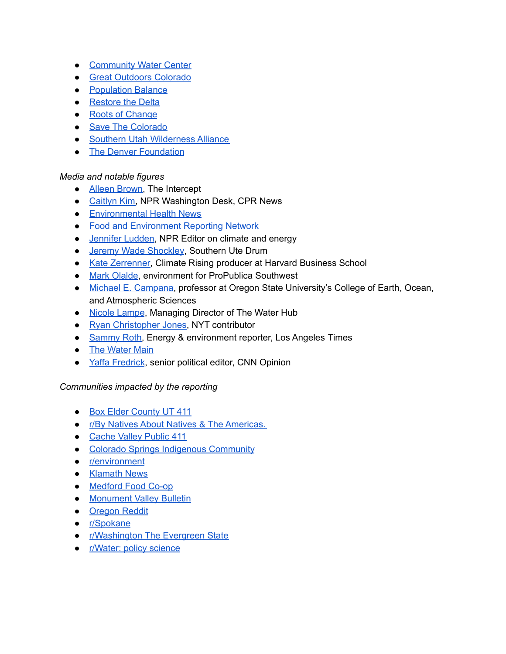- [Community](https://twitter.com/CWaterC/status/1468676241041461248?s=20) Water Center
- Great [Outdoors](https://twitter.com/GreatOutdoorsCO/status/1468367733301600265?s=20) Colorado
- [Population](https://twitter.com/solve_overpop/status/1473749432269099008?s=20) Balance
- [Restore](https://twitter.com/RestoretheDelta/status/1478858436594974720?s=20) the Delta
- Roots of [Change](https://docs.google.com/spreadsheets/d/1JflciwAG6xexMK43XMTldZAzmZiGabQtzowpmmspjSc/edit#gid=1556329948)
- Save The [Colorado](https://www.facebook.com/100064435249695/posts/268417165316123)
- Southern Utah [Wilderness](https://www.facebook.com/100064859465678/posts/271360228369291) Alliance
- The Denver [Foundation](https://twitter.com/TDFcommunity/status/1471901768917389316?s=20)

#### *Media and notable figures*

- Alleen [Brown,](https://twitter.com/AlleenBrown/status/1468986566794219524?s=20) The Intercept
- [Caitlyn](https://twitter.com/caitlynkim/status/1468336817741180930?s=20) Kim, NPR Washington Desk, CPR News
- [Environmental](https://twitter.com/EnvirHealthNews/status/1468885641421328384?s=20) Health News
- Food and [Environment](https://twitter.com/FERNnews/status/1467999836846895113?s=20) Reporting Network
- [Jennifer](https://twitter.com/JenniferLudden/status/1468409707434029061?s=20) Ludden, NPR Editor on climate and energy
- Jeremy Wade [Shockley](https://twitter.com/JeremyWShockley/status/1468383403653402630?s=20), Southern Ute Drum
- Kate [Zerrenner,](https://twitter.com/KateZerrenner/status/1469822868317945861?s=20) Climate Rising producer at Harvard Business School
- Mark [Olalde](https://twitter.com/MarkOlalde/status/1471599573575483393?s=20), environment for ProPublica Southwest
- Michael E. [Campana](https://twitter.com/WaterWired/status/1468637147292835841?s=20), professor at Oregon State University's College of Earth, Ocean, and Atmospheric Sciences
- Nicole [Lampe](https://twitter.com/nicole_amber/status/1468679598401474561?s=20), Managing Director of The Water Hub
- Ryan [Christopher](https://twitter.com/rcjonesphoto/status/1476602898679156761?s=20) Jones, NYT contributor
- [Sammy](https://twitter.com/Sammy_Roth/status/1465828374182445058?s=20) Roth, Energy & environment reporter, Los Angeles Times
- The [Water](https://twitter.com/thewatermain/status/1469004469882998793?s=20) Main
- Yaffa [Fredrick](https://twitter.com/yaffanyc/status/1462917817456476161?s=20), senior political editor, CNN Opinion

#### *Communities impacted by the reporting*

- Box Elder [County](https://www.facebook.com/groups/312067612486538/permalink/1566761010350519) UT 411
- r/By Natives About Natives & The [Americas.](https://www.reddit.com/r/IndianCountry/comments/rb651l/historically_excluded_from_colorado_river_policy/)
- [Cache](https://www.facebook.com/groups/212433270179010/permalink/480033560085645) Valley Public 411
- Colorado Springs Indigenous [Community](https://www.facebook.com/1482151392010446/posts/3761867837372112)
- [r/environment](https://www.reddit.com/comments/r0i7of)
- [Klamath](https://www.facebook.com/groups/175387022474314/permalink/4890095171003452) News
- [Medford](https://twitter.com/MedfordFoodCoop/status/1466561082055606277?s=20) Food Co-op
- [Monument](https://www.facebook.com/groups/1722529531336948/permalink/3077634255826462) Valley Bulletin
- **[Oregon](https://www.reddit.com/r/oregon/comments/r48qn1/how_a_federal_drought_relief_program_left/) Reddit**
- [r/Spokane](https://www.reddit.com/r/Spokane/comments/rcm9a0/as_west_withers_corporations_consolidate_land_and/)
- [r/Washington](https://www.reddit.com/r/Washington/comments/rcm8xs/as_west_withers_corporations_consolidate_land_and/) The Evergreen State
- [r/Water:](https://www.reddit.com/comments/rcm9pu) policy science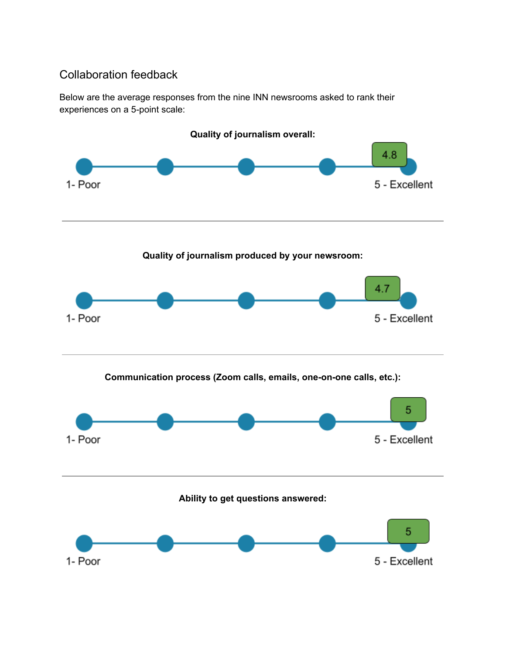# Collaboration feedback

Below are the average responses from the nine INN newsrooms asked to rank their experiences on a 5-point scale:

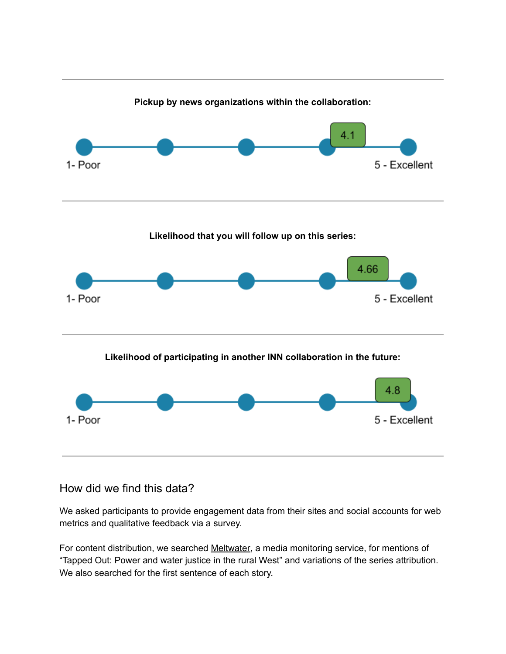

## How did we find this data?

We asked participants to provide engagement data from their sites and social accounts for web metrics and qualitative feedback via a survey.

For content distribution, we searched [Meltwater,](https://www.meltwater.com/) a media monitoring service, for mentions of "Tapped Out: Power and water justice in the rural West" and variations of the series attribution. We also searched for the first sentence of each story.